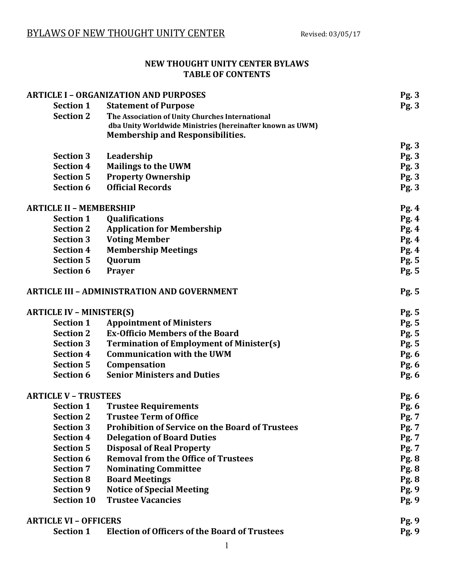#### **NEW THOUGHT UNITY CENTER BYLAWS TABLE OF CONTENTS**

| <b>ARTICLE I - ORGANIZATION AND PURPOSES</b>       |                                                           | Pg.3         |
|----------------------------------------------------|-----------------------------------------------------------|--------------|
| <b>Section 1</b>                                   | <b>Statement of Purpose</b>                               | Pg.3         |
| <b>Section 2</b>                                   | The Association of Unity Churches International           |              |
|                                                    | dba Unity Worldwide Ministries (hereinafter known as UWM) |              |
|                                                    | <b>Membership and Responsibilities.</b>                   |              |
|                                                    |                                                           | Pg.3         |
| <b>Section 3</b>                                   | Leadership                                                | Pg. 3        |
| <b>Section 4</b>                                   | <b>Mailings to the UWM</b>                                | Pg. 3        |
| <b>Section 5</b>                                   | <b>Property Ownership</b>                                 | Pg. 3        |
| <b>Section 6</b>                                   | <b>Official Records</b>                                   | Pg.3         |
| <b>ARTICLE II - MEMBERSHIP</b>                     |                                                           | <b>Pg. 4</b> |
| <b>Section 1</b>                                   | <b>Qualifications</b>                                     | Pg.4         |
| <b>Section 2</b>                                   | <b>Application for Membership</b>                         | Pg. 4        |
| <b>Section 3</b>                                   | <b>Voting Member</b>                                      | <b>Pg. 4</b> |
| <b>Section 4</b>                                   | <b>Membership Meetings</b>                                | Pg.4         |
| <b>Section 5</b>                                   | Quorum                                                    | Pg. 5        |
| <b>Section 6</b>                                   | <b>Prayer</b>                                             | Pg. 5        |
| <b>ARTICLE III - ADMINISTRATION AND GOVERNMENT</b> |                                                           | Pg. 5        |
| <b>ARTICLE IV - MINISTER(S)</b>                    |                                                           | Pg. 5        |
| <b>Section 1</b>                                   | <b>Appointment of Ministers</b>                           | Pg. 5        |
| <b>Section 2</b>                                   | <b>Ex-Officio Members of the Board</b>                    | Pg. 5        |
| <b>Section 3</b>                                   | <b>Termination of Employment of Minister(s)</b>           | Pg. 5        |
| <b>Section 4</b>                                   | <b>Communication with the UWM</b>                         | <b>Pg. 6</b> |
| <b>Section 5</b>                                   | Compensation                                              | <b>Pg. 6</b> |
| <b>Section 6</b>                                   | <b>Senior Ministers and Duties</b>                        | <b>Pg. 6</b> |
| <b>ARTICLE V - TRUSTEES</b>                        |                                                           | <b>Pg. 6</b> |
| <b>Section 1</b>                                   | <b>Trustee Requirements</b>                               | <b>Pg. 6</b> |
| <b>Section 2</b>                                   | <b>Trustee Term of Office</b>                             | Pg. 7        |
| <b>Section 3</b>                                   | <b>Prohibition of Service on the Board of Trustees</b>    | Pg. 7        |
| <b>Section 4</b>                                   | <b>Delegation of Board Duties</b>                         | Pg. 7        |
| <b>Section 5</b>                                   | <b>Disposal of Real Property</b>                          | Pg. 7        |
| <b>Section 6</b>                                   | <b>Removal from the Office of Trustees</b>                | <b>Pg. 8</b> |
| <b>Section 7</b>                                   | <b>Nominating Committee</b>                               | <b>Pg. 8</b> |
| <b>Section 8</b>                                   | <b>Board Meetings</b>                                     | <b>Pg. 8</b> |
| <b>Section 9</b>                                   | <b>Notice of Special Meeting</b>                          | Pg. 9        |
| <b>Section 10</b>                                  | <b>Trustee Vacancies</b>                                  | Pg. 9        |
| <b>ARTICLE VI - OFFICERS</b>                       |                                                           | Pg. 9        |
| <b>Section 1</b>                                   | <b>Election of Officers of the Board of Trustees</b>      | Pg. 9        |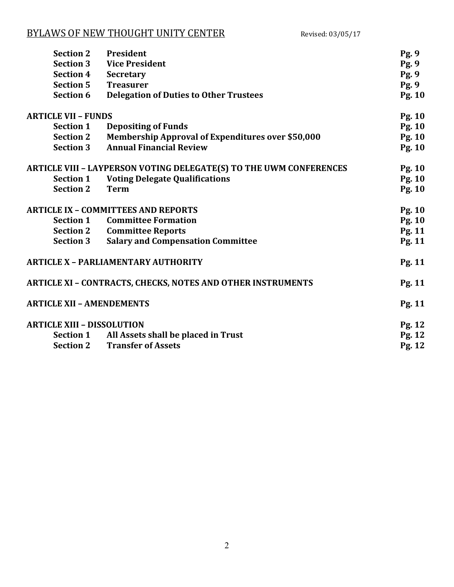| <b>Section 2</b>                                                   | President                                                          | Pg. 9         |
|--------------------------------------------------------------------|--------------------------------------------------------------------|---------------|
| <b>Section 3</b>                                                   | <b>Vice President</b>                                              | Pg. 9         |
| <b>Section 4</b>                                                   | <b>Secretary</b>                                                   | Pg. 9         |
| <b>Section 5</b>                                                   | <b>Treasurer</b>                                                   | Pg. 9         |
| <b>Section 6</b>                                                   | <b>Delegation of Duties to Other Trustees</b>                      | Pg. 10        |
| <b>ARTICLE VII - FUNDS</b>                                         |                                                                    | Pg. 10        |
| <b>Section 1</b>                                                   | <b>Depositing of Funds</b>                                         | Pg. 10        |
| <b>Section 2</b>                                                   | <b>Membership Approval of Expenditures over \$50,000</b>           | Pg. 10        |
| <b>Section 3</b>                                                   | <b>Annual Financial Review</b>                                     | Pg. 10        |
|                                                                    | ARTICLE VIII - LAYPERSON VOTING DELEGATE(S) TO THE UWM CONFERENCES | Pg. 10        |
| <b>Section 1</b>                                                   | <b>Voting Delegate Qualifications</b>                              | Pg. 10        |
| <b>Section 2</b>                                                   | <b>Term</b>                                                        | Pg. 10        |
| <b>ARTICLE IX - COMMITTEES AND REPORTS</b>                         |                                                                    | Pg. 10        |
| <b>Section 1</b>                                                   | <b>Committee Formation</b>                                         | <b>Pg. 10</b> |
| <b>Section 2</b>                                                   | <b>Committee Reports</b>                                           | Pg. 11        |
| <b>Section 3</b>                                                   | <b>Salary and Compensation Committee</b>                           | Pg. 11        |
| <b>ARTICLE X - PARLIAMENTARY AUTHORITY</b>                         |                                                                    | Pg. 11        |
| <b>ARTICLE XI - CONTRACTS, CHECKS, NOTES AND OTHER INSTRUMENTS</b> |                                                                    | Pg. 11        |
| <b>ARTICLE XII - AMENDEMENTS</b>                                   |                                                                    | Pg. 11        |
| <b>ARTICLE XIII - DISSOLUTION</b>                                  |                                                                    | Pg. 12        |
| <b>Section 1</b>                                                   | All Assets shall be placed in Trust                                | Pg. 12        |
| <b>Section 2</b>                                                   | <b>Transfer of Assets</b>                                          | Pg. 12        |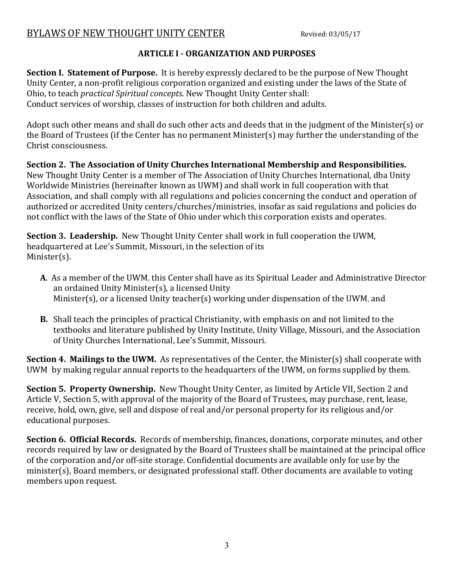#### **ARTICLE I - ORGANIZATION AND PURPOSES**

**Section I. Statement of Purpose.** It is hereby expressly declared to be the purpose of New Thought Unity Center, a non-profit religious corporation organized and existing under the laws of the State of Ohio, to teach *practical Spiritual concepts*. New Thought Unity Center shall: Conduct services of worship, classes of instruction for both children and adults.

Adopt such other means and shall do such other acts and deeds that in the judgment of the Minister(s) or the Board of Trustees (if the Center has no permanent Minister(s) may further the understanding of the Christ consciousness.

**Section 2. The Association of Unity Churches International Membership and Responsibilities.** New Thought Unity Center is a member of The Association of Unity Churches International, dba Unity Worldwide Ministries (hereinafter known as UWM) and shall work in full cooperation with that Association, and shall comply with all regulations and policies concerning the conduct and operation of authorized or accredited Unity centers/churches/ministries, insofar as said regulations and policies do not conflict with the laws of the State of Ohio under which this corporation exists and operates.

**Section 3. Leadership.** New Thought Unity Center shall work in full cooperation the UWM, headquartered at Lee's Summit, Missouri, in the selection of its Minister(s).

- **A**. As a member of the UWM, this Center shall have as its Spiritual Leader and Administrative Director an ordained Unity Minister(s), a licensed Unity Minister(s), or a licensed Unity teacher(s) working under dispensation of the UWM, and
- **B.** Shall teach the principles of practical Christianity, with emphasis on and not limited to the textbooks and literature published by Unity Institute, Unity Village, Missouri, and the Association of Unity Churches International, Lee's Summit, Missouri.

**Section 4. Mailings to the UWM.** As representatives of the Center, the Minister(s) shall cooperate with UWM by making regular annual reports to the headquarters of the UWM, on forms supplied by them.

**Section 5. Property Ownership.** New Thought Unity Center, as limited by Article VII, Section 2 and Article V, Section 5, with approval of the majority of the Board of Trustees, may purchase, rent, lease, receive, hold, own, give, sell and dispose of real and/or personal property for its religious and/or educational purposes.

**Section 6. Official Records.** Records of membership, finances, donations, corporate minutes, and other records required by law or designated by the Board of Trustees shall be maintained at the principal office of the corporation and/or off-site storage. Confidential documents are available only for use by the minister(s), Board members, or designated professional staff. Other documents are available to voting members upon request.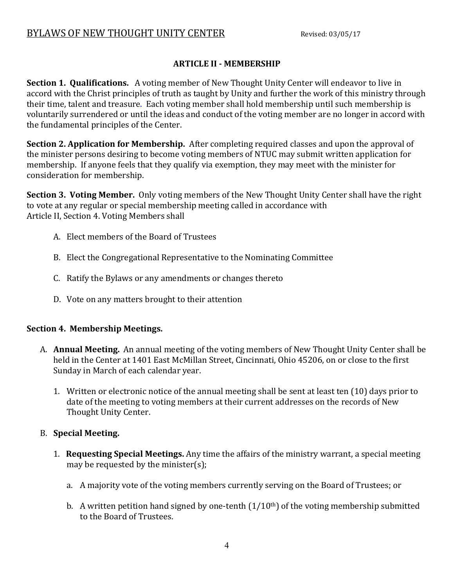#### **ARTICLE II - MEMBERSHIP**

**Section 1. Qualifications.** A voting member of New Thought Unity Center will endeavor to live in accord with the Christ principles of truth as taught by Unity and further the work of this ministry through their time, talent and treasure. Each voting member shall hold membership until such membership is voluntarily surrendered or until the ideas and conduct of the voting member are no longer in accord with the fundamental principles of the Center.

**Section 2. Application for Membership.** After completing required classes and upon the approval of the minister persons desiring to become voting members of NTUC may submit written application for membership. If anyone feels that they qualify via exemption, they may meet with the minister for consideration for membership.

**Section 3. Voting Member.** Only voting members of the New Thought Unity Center shall have the right to vote at any regular or special membership meeting called in accordance with Article II, Section 4. Voting Members shall

- A. Elect members of the Board of Trustees
- B. Elect the Congregational Representative to the Nominating Committee
- C. Ratify the Bylaws or any amendments or changes thereto
- D. Vote on any matters brought to their attention

#### **Section 4. Membership Meetings.**

- A. **Annual Meeting.** An annual meeting of the voting members of New Thought Unity Center shall be held in the Center at 1401 East McMillan Street, Cincinnati, Ohio 45206, on or close to the first Sunday in March of each calendar year.
	- 1. Written or electronic notice of the annual meeting shall be sent at least ten (10) days prior to date of the meeting to voting members at their current addresses on the records of New Thought Unity Center.

#### B. **Special Meeting.**

- 1. **Requesting Special Meetings.** Any time the affairs of the ministry warrant, a special meeting may be requested by the minister(s);
	- a. A majority vote of the voting members currently serving on the Board of Trustees; or
	- b. A written petition hand signed by one-tenth  $(1/10<sup>th</sup>)$  of the voting membership submitted to the Board of Trustees.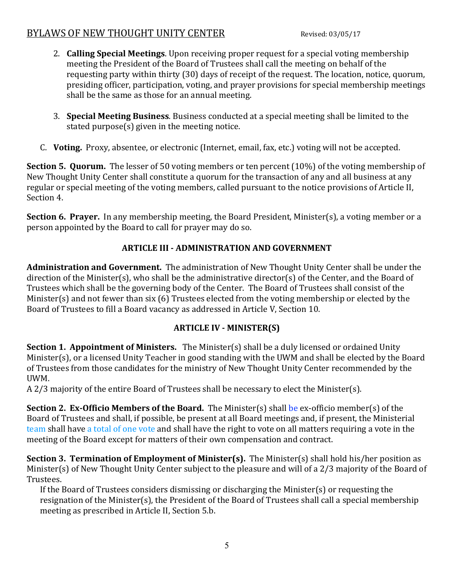- 2. **Calling Special Meetings**. Upon receiving proper request for a special voting membership meeting the President of the Board of Trustees shall call the meeting on behalf of the requesting party within thirty (30) days of receipt of the request. The location, notice, quorum, presiding officer, participation, voting, and prayer provisions for special membership meetings shall be the same as those for an annual meeting.
- 3. **Special Meeting Business**. Business conducted at a special meeting shall be limited to the stated purpose(s) given in the meeting notice.
- C. **Voting.** Proxy, absentee, or electronic (Internet, email, fax, etc.) voting will not be accepted.

**Section 5. Quorum.** The lesser of 50 voting members or ten percent (10%) of the voting membership of New Thought Unity Center shall constitute a quorum for the transaction of any and all business at any regular or special meeting of the voting members, called pursuant to the notice provisions of Article II, Section 4.

**Section 6. Prayer.** In any membership meeting, the Board President, Minister(s), a voting member or a person appointed by the Board to call for prayer may do so.

### **ARTICLE III - ADMINISTRATION AND GOVERNMENT**

**Administration and Government.** The administration of New Thought Unity Center shall be under the direction of the Minister(s), who shall be the administrative director(s) of the Center, and the Board of Trustees which shall be the governing body of the Center. The Board of Trustees shall consist of the Minister(s) and not fewer than six (6) Trustees elected from the voting membership or elected by the Board of Trustees to fill a Board vacancy as addressed in Article V, Section 10.

### **ARTICLE IV - MINISTER(S)**

**Section 1. Appointment of Ministers.** The Minister(s) shall be a duly licensed or ordained Unity Minister(s), or a licensed Unity Teacher in good standing with the UWM and shall be elected by the Board of Trustees from those candidates for the ministry of New Thought Unity Center recommended by the UWM.

A 2/3 majority of the entire Board of Trustees shall be necessary to elect the Minister(s).

**Section 2. Ex-Officio Members of the Board.** The Minister(s) shall be ex-officio member(s) of the Board of Trustees and shall, if possible, be present at all Board meetings and, if present, the Ministerial team shall have a total of one vote and shall have the right to vote on all matters requiring a vote in the meeting of the Board except for matters of their own compensation and contract.

**Section 3. Termination of Employment of Minister(s).** The Minister(s) shall hold his/her position as Minister(s) of New Thought Unity Center subject to the pleasure and will of a 2/3 majority of the Board of Trustees.

If the Board of Trustees considers dismissing or discharging the Minister(s) or requesting the resignation of the Minister(s), the President of the Board of Trustees shall call a special membership meeting as prescribed in Article II, Section 5.b.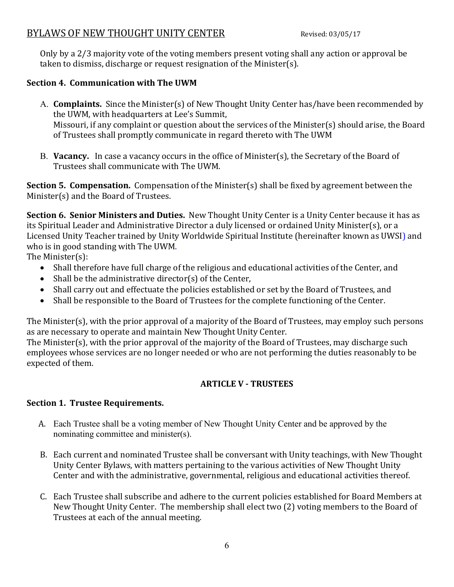Only by a 2/3 majority vote of the voting members present voting shall any action or approval be taken to dismiss, discharge or request resignation of the Minister(s).

#### **Section 4. Communication with The UWM**

- A. **Complaints.** Since the Minister(s) of New Thought Unity Center has/have been recommended by the UWM, with headquarters at Lee's Summit, Missouri, if any complaint or question about the services of the Minister(s) should arise, the Board of Trustees shall promptly communicate in regard thereto with The UWM
- B. **Vacancy.** In case a vacancy occurs in the office of Minister(s), the Secretary of the Board of Trustees shall communicate with The UWM.

**Section 5. Compensation.** Compensation of the Minister(s) shall be fixed by agreement between the Minister(s) and the Board of Trustees.

**Section 6. Senior Ministers and Duties.** New Thought Unity Center is a Unity Center because it has as its Spiritual Leader and Administrative Director a duly licensed or ordained Unity Minister(s), or a Licensed Unity Teacher trained by Unity Worldwide Spiritual Institute (hereinafter known as UWSI) and who is in good standing with The UWM.

The Minister(s):

- Shall therefore have full charge of the religious and educational activities of the Center, and
- $\bullet$  Shall be the administrative director(s) of the Center,
- Shall carry out and effectuate the policies established or set by the Board of Trustees, and
- Shall be responsible to the Board of Trustees for the complete functioning of the Center.

The Minister(s), with the prior approval of a majority of the Board of Trustees, may employ such persons as are necessary to operate and maintain New Thought Unity Center.

The Minister(s), with the prior approval of the majority of the Board of Trustees, may discharge such employees whose services are no longer needed or who are not performing the duties reasonably to be expected of them.

#### **ARTICLE V - TRUSTEES**

#### **Section 1. Trustee Requirements.**

- A. Each Trustee shall be a voting member of New Thought Unity Center and be approved by the nominating committee and minister(s).
- B. Each current and nominated Trustee shall be conversant with Unity teachings, with New Thought Unity Center Bylaws, with matters pertaining to the various activities of New Thought Unity Center and with the administrative, governmental, religious and educational activities thereof.
- C. Each Trustee shall subscribe and adhere to the current policies established for Board Members at New Thought Unity Center. The membership shall elect two (2) voting members to the Board of Trustees at each of the annual meeting.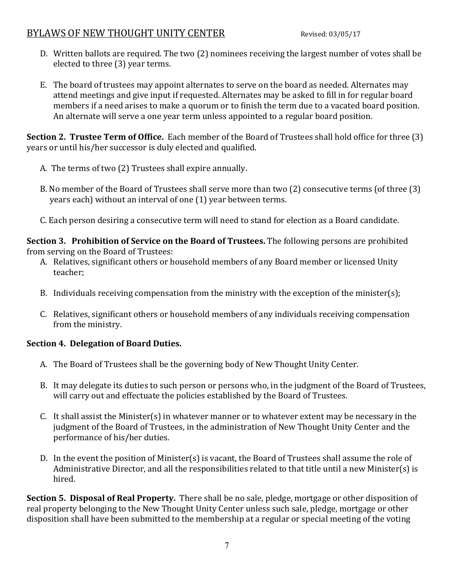- D. Written ballots are required. The two (2) nominees receiving the largest number of votes shall be elected to three (3) year terms.
- E. The board of trustees may appoint alternates to serve on the board as needed. Alternates may attend meetings and give input if requested. Alternates may be asked to fill in for regular board members if a need arises to make a quorum or to finish the term due to a vacated board position. An alternate will serve a one year term unless appointed to a regular board position.

**Section 2. Trustee Term of Office.** Each member of the Board of Trustees shall hold office for three (3) years or until his/her successor is duly elected and qualified.

- A. The terms of two (2) Trustees shall expire annually.
- B. No member of the Board of Trustees shall serve more than two (2) consecutive terms (of three (3) years each) without an interval of one (1) year between terms.
- C. Each person desiring a consecutive term will need to stand for election as a Board candidate.

**Section 3. Prohibition of Service on the Board of Trustees.** The following persons are prohibited from serving on the Board of Trustees:

- A. Relatives, significant others or household members of any Board member or licensed Unity teacher;
- B. Individuals receiving compensation from the ministry with the exception of the minister(s);
- C. Relatives, significant others or household members of any individuals receiving compensation from the ministry.

#### **Section 4. Delegation of Board Duties.**

- A. The Board of Trustees shall be the governing body of New Thought Unity Center.
- B. It may delegate its duties to such person or persons who, in the judgment of the Board of Trustees, will carry out and effectuate the policies established by the Board of Trustees.
- C. It shall assist the Minister(s) in whatever manner or to whatever extent may be necessary in the judgment of the Board of Trustees, in the administration of New Thought Unity Center and the performance of his/her duties.
- D. In the event the position of Minister(s) is vacant, the Board of Trustees shall assume the role of Administrative Director, and all the responsibilities related to that title until a new Minister(s) is hired.

**Section 5. Disposal of Real Property.** There shall be no sale, pledge, mortgage or other disposition of real property belonging to the New Thought Unity Center unless such sale, pledge, mortgage or other disposition shall have been submitted to the membership at a regular or special meeting of the voting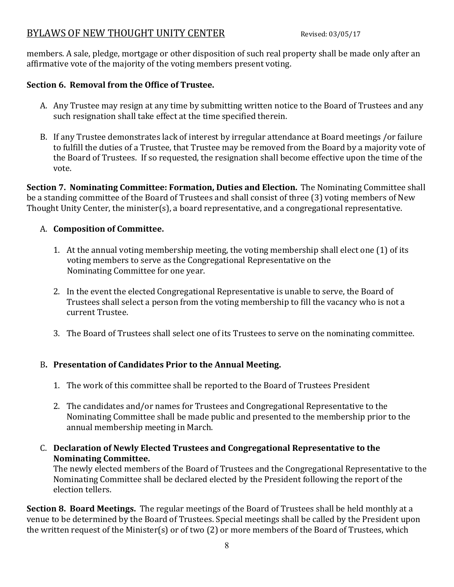members. A sale, pledge, mortgage or other disposition of such real property shall be made only after an affirmative vote of the majority of the voting members present voting.

#### **Section 6. Removal from the Office of Trustee.**

- A. Any Trustee may resign at any time by submitting written notice to the Board of Trustees and any such resignation shall take effect at the time specified therein.
- B. If any Trustee demonstrates lack of interest by irregular attendance at Board meetings /or failure to fulfill the duties of a Trustee, that Trustee may be removed from the Board by a majority vote of the Board of Trustees. If so requested, the resignation shall become effective upon the time of the vote.

**Section 7. Nominating Committee: Formation, Duties and Election.** The Nominating Committee shall be a standing committee of the Board of Trustees and shall consist of three (3) voting members of New Thought Unity Center, the minister(s), a board representative, and a congregational representative.

#### A. **Composition of Committee.**

- 1. At the annual voting membership meeting, the voting membership shall elect one (1) of its voting members to serve as the Congregational Representative on the Nominating Committee for one year.
- 2. In the event the elected Congregational Representative is unable to serve, the Board of Trustees shall select a person from the voting membership to fill the vacancy who is not a current Trustee.
- 3. The Board of Trustees shall select one of its Trustees to serve on the nominating committee.

### B**. Presentation of Candidates Prior to the Annual Meeting.**

- 1. The work of this committee shall be reported to the Board of Trustees President
- 2. The candidates and/or names for Trustees and Congregational Representative to the Nominating Committee shall be made public and presented to the membership prior to the annual membership meeting in March.
- C. **Declaration of Newly Elected Trustees and Congregational Representative to the Nominating Committee.**

The newly elected members of the Board of Trustees and the Congregational Representative to the Nominating Committee shall be declared elected by the President following the report of the election tellers.

**Section 8. Board Meetings.** The regular meetings of the Board of Trustees shall be held monthly at a venue to be determined by the Board of Trustees. Special meetings shall be called by the President upon the written request of the Minister(s) or of two (2) or more members of the Board of Trustees, which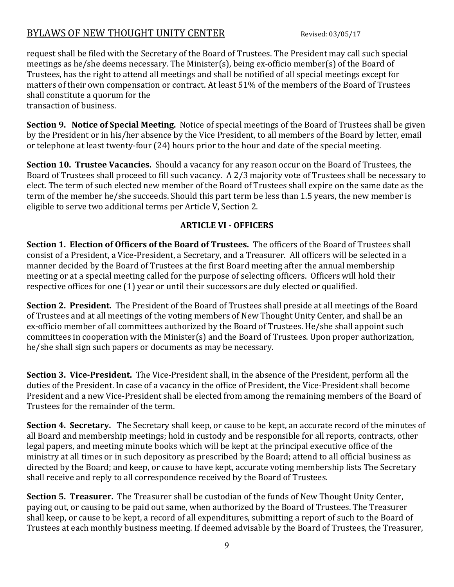request shall be filed with the Secretary of the Board of Trustees. The President may call such special meetings as he/she deems necessary. The Minister(s), being ex-officio member(s) of the Board of Trustees, has the right to attend all meetings and shall be notified of all special meetings except for matters of their own compensation or contract. At least 51% of the members of the Board of Trustees shall constitute a quorum for the

transaction of business.

**Section 9. Notice of Special Meeting.** Notice of special meetings of the Board of Trustees shall be given by the President or in his/her absence by the Vice President, to all members of the Board by letter, email or telephone at least twenty-four (24) hours prior to the hour and date of the special meeting.

**Section 10. Trustee Vacancies.** Should a vacancy for any reason occur on the Board of Trustees, the Board of Trustees shall proceed to fill such vacancy. A 2/3 majority vote of Trustees shall be necessary to elect. The term of such elected new member of the Board of Trustees shall expire on the same date as the term of the member he/she succeeds. Should this part term be less than 1.5 years, the new member is eligible to serve two additional terms per Article V, Section 2.

#### **ARTICLE VI - OFFICERS**

**Section 1. Election of Officers of the Board of Trustees.** The officers of the Board of Trustees shall consist of a President, a Vice-President, a Secretary, and a Treasurer. All officers will be selected in a manner decided by the Board of Trustees at the first Board meeting after the annual membership meeting or at a special meeting called for the purpose of selecting officers. Officers will hold their respective offices for one (1) year or until their successors are duly elected or qualified.

**Section 2. President.** The President of the Board of Trustees shall preside at all meetings of the Board of Trustees and at all meetings of the voting members of New Thought Unity Center, and shall be an ex-officio member of all committees authorized by the Board of Trustees. He/she shall appoint such committees in cooperation with the Minister(s) and the Board of Trustees. Upon proper authorization, he/she shall sign such papers or documents as may be necessary.

**Section 3. Vice-President.** The Vice-President shall, in the absence of the President, perform all the duties of the President. In case of a vacancy in the office of President, the Vice-President shall become President and a new Vice-President shall be elected from among the remaining members of the Board of Trustees for the remainder of the term.

**Section 4. Secretary.** The Secretary shall keep, or cause to be kept, an accurate record of the minutes of all Board and membership meetings; hold in custody and be responsible for all reports, contracts, other legal papers, and meeting minute books which will be kept at the principal executive office of the ministry at all times or in such depository as prescribed by the Board; attend to all official business as directed by the Board; and keep, or cause to have kept, accurate voting membership lists The Secretary shall receive and reply to all correspondence received by the Board of Trustees.

**Section 5. Treasurer.** The Treasurer shall be custodian of the funds of New Thought Unity Center, paying out, or causing to be paid out same, when authorized by the Board of Trustees. The Treasurer shall keep, or cause to be kept, a record of all expenditures, submitting a report of such to the Board of Trustees at each monthly business meeting. If deemed advisable by the Board of Trustees, the Treasurer,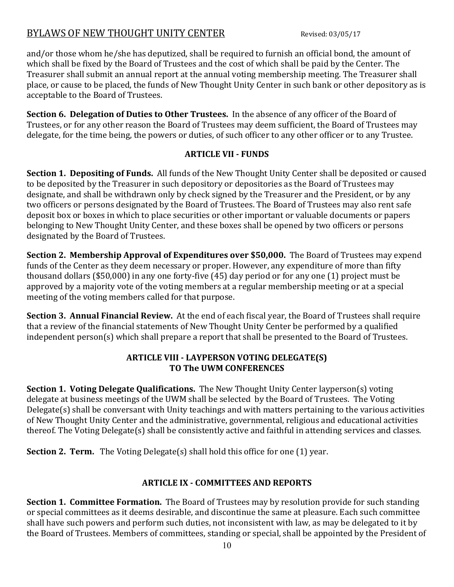and/or those whom he/she has deputized, shall be required to furnish an official bond, the amount of which shall be fixed by the Board of Trustees and the cost of which shall be paid by the Center. The Treasurer shall submit an annual report at the annual voting membership meeting. The Treasurer shall place, or cause to be placed, the funds of New Thought Unity Center in such bank or other depository as is acceptable to the Board of Trustees.

**Section 6. Delegation of Duties to Other Trustees.** In the absence of any officer of the Board of Trustees, or for any other reason the Board of Trustees may deem sufficient, the Board of Trustees may delegate, for the time being, the powers or duties, of such officer to any other officer or to any Trustee.

### **ARTICLE VII - FUNDS**

**Section 1. Depositing of Funds.** All funds of the New Thought Unity Center shall be deposited or caused to be deposited by the Treasurer in such depository or depositories as the Board of Trustees may designate, and shall be withdrawn only by check signed by the Treasurer and the President, or by any two officers or persons designated by the Board of Trustees. The Board of Trustees may also rent safe deposit box or boxes in which to place securities or other important or valuable documents or papers belonging to New Thought Unity Center, and these boxes shall be opened by two officers or persons designated by the Board of Trustees.

**Section 2. Membership Approval of Expenditures over \$50,000.** The Board of Trustees may expend funds of the Center as they deem necessary or proper. However, any expenditure of more than fifty thousand dollars (\$50,000) in any one forty-five (45) day period or for any one (1) project must be approved by a majority vote of the voting members at a regular membership meeting or at a special meeting of the voting members called for that purpose.

**Section 3. Annual Financial Review.** At the end of each fiscal year, the Board of Trustees shall require that a review of the financial statements of New Thought Unity Center be performed by a qualified independent person(s) which shall prepare a report that shall be presented to the Board of Trustees.

#### **ARTICLE VIII - LAYPERSON VOTING DELEGATE(S) TO The UWM CONFERENCES**

**Section 1. Voting Delegate Qualifications.** The New Thought Unity Center layperson(s) voting delegate at business meetings of the UWM shall be selected by the Board of Trustees. The Voting Delegate(s) shall be conversant with Unity teachings and with matters pertaining to the various activities of New Thought Unity Center and the administrative, governmental, religious and educational activities thereof. The Voting Delegate(s) shall be consistently active and faithful in attending services and classes.

**Section 2. Term.** The Voting Delegate(s) shall hold this office for one (1) year.

### **ARTICLE IX - COMMITTEES AND REPORTS**

**Section 1. Committee Formation.** The Board of Trustees may by resolution provide for such standing or special committees as it deems desirable, and discontinue the same at pleasure. Each such committee shall have such powers and perform such duties, not inconsistent with law, as may be delegated to it by the Board of Trustees. Members of committees, standing or special, shall be appointed by the President of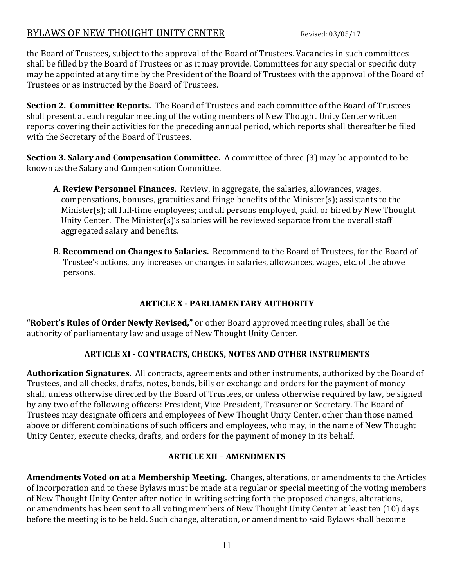the Board of Trustees, subject to the approval of the Board of Trustees. Vacancies in such committees shall be filled by the Board of Trustees or as it may provide. Committees for any special or specific duty may be appointed at any time by the President of the Board of Trustees with the approval of the Board of Trustees or as instructed by the Board of Trustees.

**Section 2. Committee Reports.** The Board of Trustees and each committee of the Board of Trustees shall present at each regular meeting of the voting members of New Thought Unity Center written reports covering their activities for the preceding annual period, which reports shall thereafter be filed with the Secretary of the Board of Trustees.

**Section 3. Salary and Compensation Committee.** A committee of three (3) may be appointed to be known as the Salary and Compensation Committee.

- A. **Review Personnel Finances.** Review, in aggregate, the salaries, allowances, wages, compensations, bonuses, gratuities and fringe benefits of the Minister(s); assistants to the Minister(s); all full-time employees; and all persons employed, paid, or hired by New Thought Unity Center. The Minister(s)'s salaries will be reviewed separate from the overall staff aggregated salary and benefits.
- B. **Recommend on Changes to Salaries.** Recommend to the Board of Trustees, for the Board of Trustee's actions, any increases or changes in salaries, allowances, wages, etc. of the above persons.

### **ARTICLE X - PARLIAMENTARY AUTHORITY**

**"Robert's Rules of Order Newly Revised,"** or other Board approved meeting rules, shall be the authority of parliamentary law and usage of New Thought Unity Center.

### **ARTICLE XI - CONTRACTS, CHECKS, NOTES AND OTHER INSTRUMENTS**

**Authorization Signatures.** All contracts, agreements and other instruments, authorized by the Board of Trustees, and all checks, drafts, notes, bonds, bills or exchange and orders for the payment of money shall, unless otherwise directed by the Board of Trustees, or unless otherwise required by law, be signed by any two of the following officers: President, Vice-President, Treasurer or Secretary. The Board of Trustees may designate officers and employees of New Thought Unity Center, other than those named above or different combinations of such officers and employees, who may, in the name of New Thought Unity Center, execute checks, drafts, and orders for the payment of money in its behalf.

#### **ARTICLE XII – AMENDMENTS**

**Amendments Voted on at a Membership Meeting.** Changes, alterations, or amendments to the Articles of Incorporation and to these Bylaws must be made at a regular or special meeting of the voting members of New Thought Unity Center after notice in writing setting forth the proposed changes, alterations, or amendments has been sent to all voting members of New Thought Unity Center at least ten (10) days before the meeting is to be held. Such change, alteration, or amendment to said Bylaws shall become